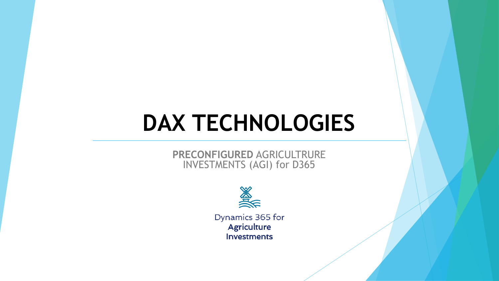# **DAX TECHNOLOGIES**

#### **PRECONFIGURED** AGRICULTRURE INVESTMENTS (AGI) for D365



Dynamics 365 for **Agriculture Investments**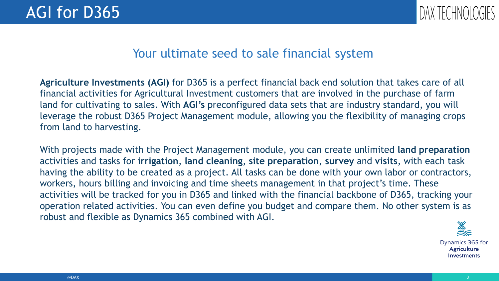

### Your ultimate seed to sale financial system

 $\frac{1}{100}$  customers that are involved in the purchase of **Agriculture Investments (AGI)** for D365 is a perfect financial back end solution that takes care of all financial activities for Agricultural Investment customers that are involved in the purchase of farm land for cultivating to sales. With **AGI's** preconfigured data sets that are industry standard, you will leverage the robust D365 Project Management module, allowing you the flexibility of managing crops from land to harvesting.

With projects made with the Project Management module, you can create unlimited **land preparation**  activities and tasks for **irrigation**, **land cleaning**, **site preparation**, **survey** and **visits**, with each task having the ability to be created as a project. All tasks can be done with your own labor or contractors, workers, hours billing and invoicing and time sheets management in that project's time. These activities will be tracked for you in D365 and linked with the financial backbone of D365, tracking your operation related activities. You can even define you budget and compare them. No other system is as robust and flexible as Dynamics 365 combined with AGI.

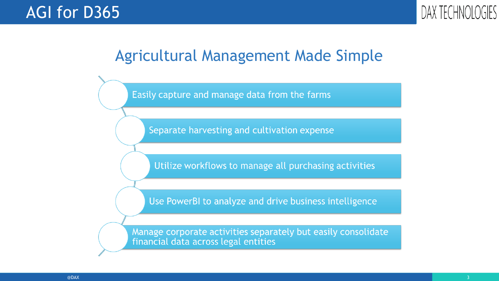

### Agricultural Management Made Simple

Easily capture and manage data from the farms

Separate harvesting and cultivation expense

Utilize workflows to manage all purchasing activities

Use PowerBI to analyze and drive business intelligence

Manage corporate activities separately but easily consolidate financial data across legal entities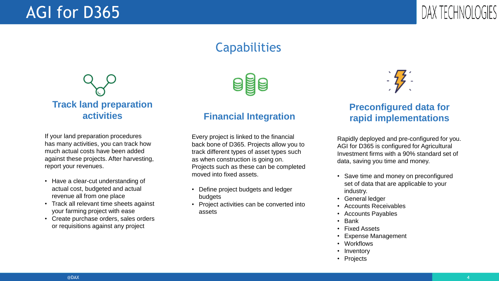### AGI for D365



### **Capabilities**



If your land preparation procedures has many activities, you can track how much actual costs have been added against these projects. After harvesting, report your revenues.

- Have a clear-cut understanding of actual cost, budgeted and actual revenue all from one place
- Track all relevant time sheets against your farming project with ease
- Create purchase orders, sales orders or requisitions against any project



#### **Financial Integration**

Every project is linked to the financial back bone of D365. Projects allow you to track different types of asset types such as when construction is going on. Projects such as these can be completed moved into fixed assets.

- Define project budgets and ledger budgets
- Project activities can be converted into assets



#### the contract of the contract of the contract of the contract of the contract of the contract of the contract of **Preconfigured data for rapid implementations**

Rapidly deployed and pre-configured for you. AGI for D365 is configured for Agricultural Investment firms with a 90% standard set of data, saving you time and money.

- Save time and money on preconfigured set of data that are applicable to your industry.
- General ledger
- Accounts Receivables
- Accounts Payables
- Bank
- Fixed Assets
- Expense Management
- Workflows
- Inventory
- Projects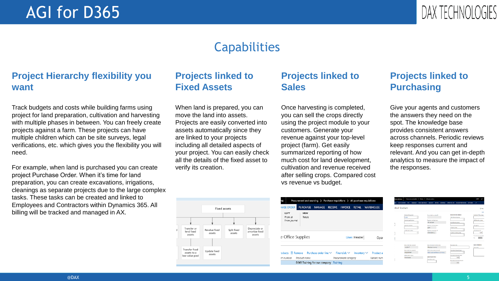### AGI for D365



### **Capabilities**

#### **Project Hierarchy flexibility you want**

Track budgets and costs while building farms using project for land preparation, cultivation and harvesting with multiple phases in between. You can freely create projects against a farm. These projects can have multiple children which can be site surveys, legal verifications, etc. which gives you the flexibility you will need.

For example, when land is purchased you can create project Purchase Order. When it's time for land preparation, you can create excavations, irrigations, cleanings as separate projects due to the large complex tasks. These tasks can be created and linked to Employees and Contractors within Dynamics 365. All billing will be tracked and managed in AX.

#### **Projects linked to Fixed Assets**

When land is prepared, you can move the land into assets. Projects are easily converted into assets automatically since they are linked to your projects including all detailed aspects of your project. You can easily check all the details of the fixed asset to verify its creation.

#### **Projects linked to Sales**

assets. The answers to bound the project module to your the answers the converted into the using the project module to your Once harvesting is completed, you can sell the crops directly customers. Generate your revenue against your top-level project (farm). Get easily summarized reporting of how much cost for land development, cultivation and revenue received after selling crops. Compared cost vs revenue vs budget.

#### **Projects linked to Purchasing**

Give your agents and customers the answers they need on the spot. The knowledge base provides consistent answers across channels. Periodic reviews keep responses current and relevant. And you can get in-depth analytics to measure the impact of the responses.

|   |                                                 | <b>Fixed assets</b>     |                       |                                           |
|---|-------------------------------------------------|-------------------------|-----------------------|-------------------------------------------|
|   |                                                 |                         |                       |                                           |
| đ | Transfer or<br>lend fixed<br>assets             | Revalue fixed<br>assets | Split fixed<br>assets | Depreciate or<br>amortize fixed<br>assets |
|   | Transfer fixed<br>assets to a<br>low-value pool | Update fixed<br>assets  |                       |                                           |

| ٦S                               | Procurement and sourcing > Purchase requisitions > All purchase requisitions               |  |                      |                  |                          |
|----------------------------------|--------------------------------------------------------------------------------------------|--|----------------------|------------------|--------------------------|
| <b>HASE ORDER</b>                | PURCHASE MANAGE                                                                            |  | RECEIVE INVOICE      | RETAIL           | <b>WAREHOUSE</b>         |
| COPY<br>From all<br>From journal | <b>VIEW</b><br>Totals                                                                      |  |                      |                  |                          |
|                                  |                                                                                            |  |                      |                  |                          |
| e Office Supplies                |                                                                                            |  |                      | Lines Header     | Oper                     |
| m number                         | oducts $\overline{10}$ Remove Purchase order line $\vee$ Financials $\vee$<br>Product name |  | Procurement category | Inventory $\vee$ | Product a<br>Variant num |

| stball Stadium                       |                                                 |                                                       |                              |
|--------------------------------------|-------------------------------------------------|-------------------------------------------------------|------------------------------|
|                                      |                                                 |                                                       |                              |
|                                      |                                                 |                                                       |                              |
| <b>Method of payment</b>             | Direct shekit reprodute 13                      | <b>EFFICIOUNT OR CHARGES</b><br>Total discount annual | Cursomer TMA group           |
| CASH<br>$\overline{\phantom{a}}$     |                                                 |                                                       |                              |
| <b>Tayment specification</b>         | Payment mathod name                             |                                                       | <b>Multiline disc. group</b> |
|                                      | On account                                      | Line discount group                                   |                              |
| Former A schedule                    | Perment method status                           |                                                       | Price group                  |
|                                      | paid                                            | Charges croup                                         |                              |
| Condit ched existent                 | <b>Payment transaction 1D</b>                   |                                                       | Tatal discount %             |
| ×                                    | 0141431812                                      | Customer rebate crosp                                 |                              |
|                                      |                                                 | u                                                     | Tetal discount accordi-      |
|                                      |                                                 |                                                       | Nn                           |
|                                      |                                                 |                                                       | <b>SANA COMMERCE</b>         |
| Sana ender data received<br>1/9/2017 | Sans shipment method name<br>Fluid per country. | <b>Promotion title</b>                                | Comment                      |
|                                      |                                                 |                                                       |                              |
| Sana ender time received             | Sell-to shop account e-molt                     | <b>Promotion discount type</b>                        |                              |
| 01:23:18 AM                          | b2b-customer@sana-commerc                       |                                                       |                              |
| <b>Latinoconian status</b>           | SANIA FROMOTION                                 | Procession discount value                             |                              |
| NotNeeded                            |                                                 | 0.00                                                  |                              |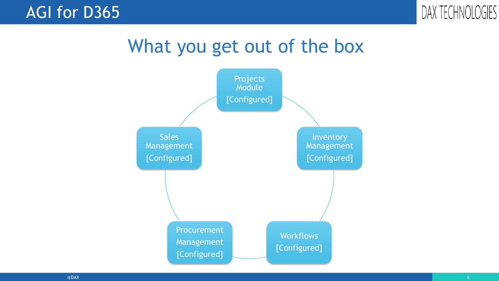

# What you get out of the box

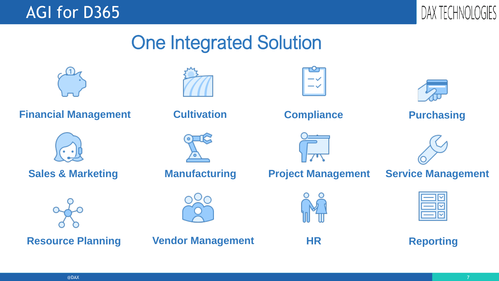



# One Integrated Solution

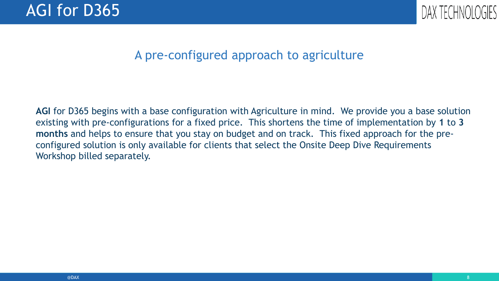

### A pre-configured approach to agriculture

**AGI** for D365 begins with a base configuration with Agriculture in mind. We provide you a base solution existing with pre-configurations for a fixed price. This shortens the time of implementation by **1** to **3 months** and helps to ensure that you stay on budget and on track. This fixed approach for the preconfigured solution is only available for clients that select the Onsite Deep Dive Requirements Workshop billed separately.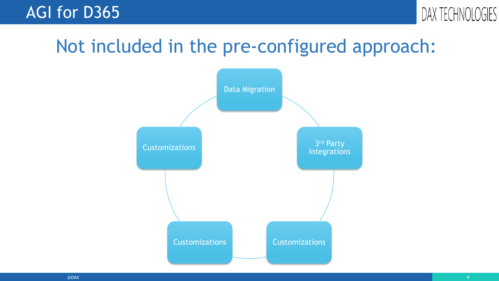



# Not included in the pre-configured approach:

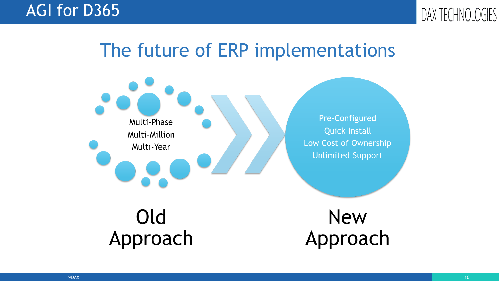

# The future of ERP implementations

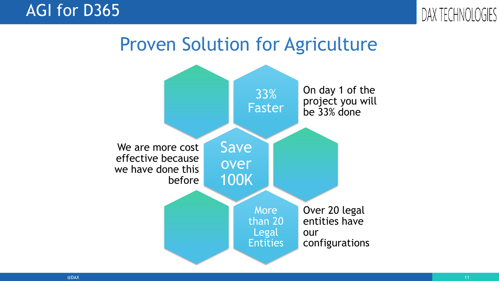

# Proven Solution for Agriculture